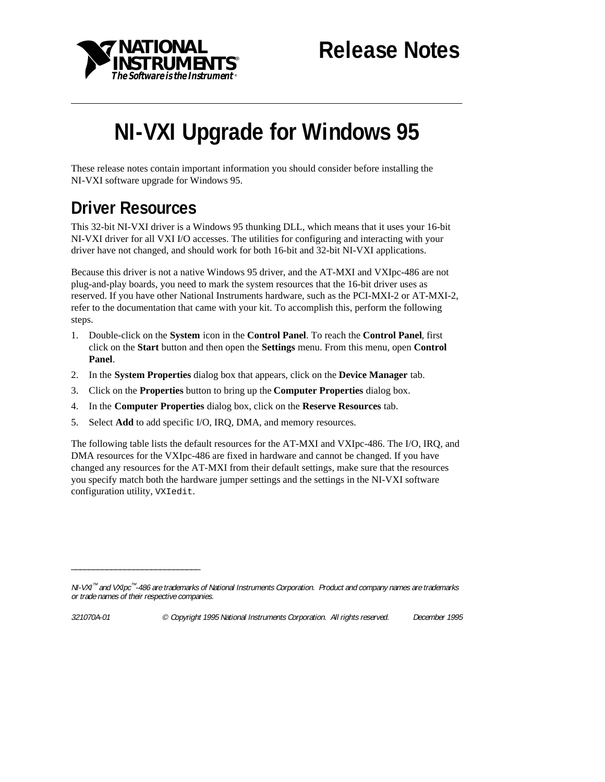

# **NI-VXI Upgrade for Windows 95**

These release notes contain important information you should consider before installing the NI-VXI software upgrade for Windows 95.

### **Driver Resources**

This 32-bit NI-VXI driver is a Windows 95 thunking DLL, which means that it uses your 16-bit NI-VXI driver for all VXI I/O accesses. The utilities for configuring and interacting with your driver have not changed, and should work for both 16-bit and 32-bit NI-VXI applications.

Because this driver is not a native Windows 95 driver, and the AT-MXI and VXIpc-486 are not plug-and-play boards, you need to mark the system resources that the 16-bit driver uses as reserved. If you have other National Instruments hardware, such as the PCI-MXI-2 or AT-MXI-2, refer to the documentation that came with your kit. To accomplish this, perform the following steps.

- 1. Double-click on the **System** icon in the **Control Panel**. To reach the **Control Panel**, first click on the **Start** button and then open the **Settings** menu. From this menu, open **Control Panel**.
- 2. In the **System Properties** dialog box that appears, click on the **Device Manager** tab.
- 3. Click on the **Properties** button to bring up the **Computer Properties** dialog box.
- 4. In the **Computer Properties** dialog box, click on the **Reserve Resources** tab.
- 5. Select **Add** to add specific I/O, IRQ, DMA, and memory resources.

The following table lists the default resources for the AT-MXI and VXIpc-486. The I/O, IRQ, and DMA resources for the VXIpc-486 are fixed in hardware and cannot be changed. If you have changed any resources for the AT-MXI from their default settings, make sure that the resources you specify match both the hardware jumper settings and the settings in the NI-VXI software configuration utility, VXIedit.

\_\_\_\_\_\_\_\_\_\_\_\_\_\_\_\_\_\_\_\_\_\_\_\_\_\_\_\_\_

NI-VXI™ and VXIpc™ -486 are trademarks of National Instruments Corporation. Product and company names are trademarks or trade names of their respective companies.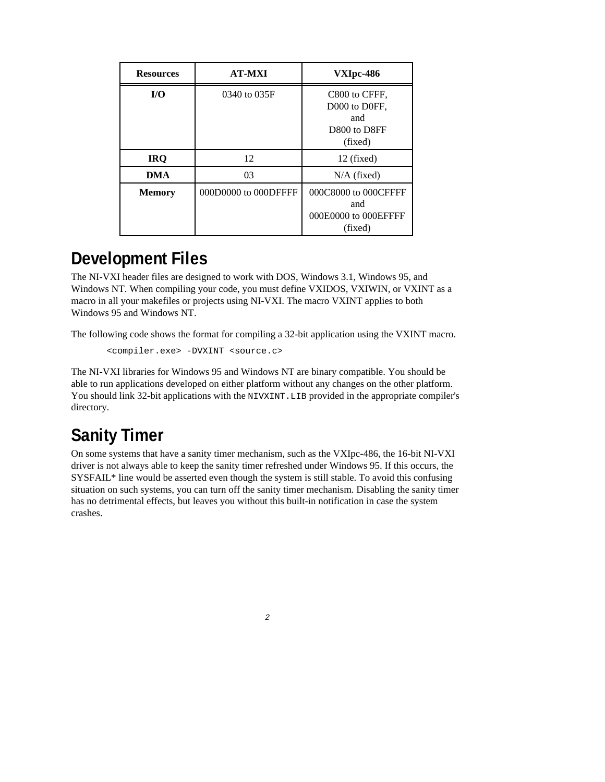| <b>Resources</b> | <b>AT-MXI</b>        | VXIpc-486                                                        |
|------------------|----------------------|------------------------------------------------------------------|
| I/O              | 0340 to 035F         | C800 to CFFF.<br>D000 to D0FF.<br>and<br>D800 to D8FF<br>(fixed) |
| <b>IRQ</b>       | 12                   | 12 (fixed)                                                       |
| <b>DMA</b>       | 03                   | $N/A$ (fixed)                                                    |
| <b>Memory</b>    | 000D0000 to 000DFFFF | 000C8000 to 000CFFFF<br>and<br>000E0000 to 000EFFFF<br>(fixed)   |

#### **Development Files**

The NI-VXI header files are designed to work with DOS, Windows 3.1, Windows 95, and Windows NT. When compiling your code, you must define VXIDOS, VXIWIN, or VXINT as a macro in all your makefiles or projects using NI-VXI. The macro VXINT applies to both Windows 95 and Windows NT.

The following code shows the format for compiling a 32-bit application using the VXINT macro.

<compiler.exe> -DVXINT <source.c>

The NI-VXI libraries for Windows 95 and Windows NT are binary compatible. You should be able to run applications developed on either platform without any changes on the other platform. You should link 32-bit applications with the NIVXINT. LIB provided in the appropriate compiler's directory.

## **Sanity Timer**

On some systems that have a sanity timer mechanism, such as the VXIpc-486, the 16-bit NI-VXI driver is not always able to keep the sanity timer refreshed under Windows 95. If this occurs, the SYSFAIL\* line would be asserted even though the system is still stable. To avoid this confusing situation on such systems, you can turn off the sanity timer mechanism. Disabling the sanity timer has no detrimental effects, but leaves you without this built-in notification in case the system crashes.